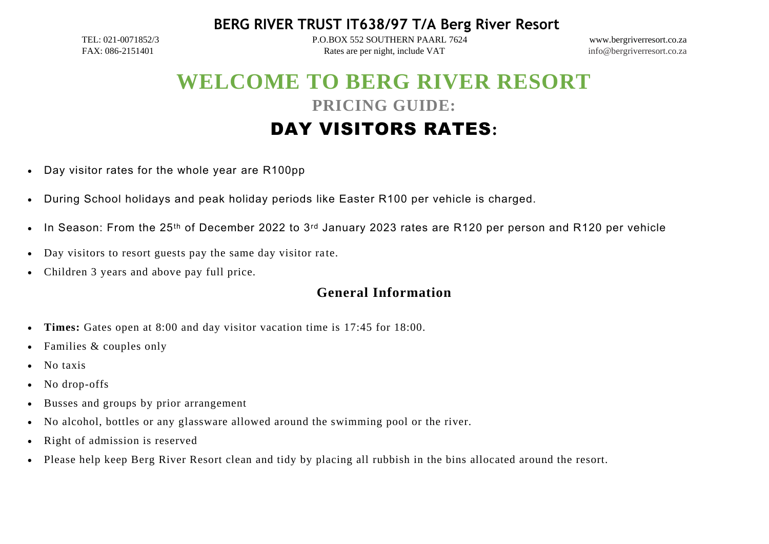**BERG RIVER TRUST IT638/97 T/A Berg River Resort**

TEL: 021-0071852/3 P.O.BOX 552 SOUTHERN PAARL 7624 www.bergriverresort.co.za FAX: 086-2151401 Rates are per night, include VAT info@bergriverresort.co.za

# **WELCOME TO BERG RIVER RESORT PRICING GUIDE:** DAY VISITORS RATES**:**

- Day visitor rates for the whole year are R100pp
- During School holidays and peak holiday periods like Easter R100 per vehicle is charged.
- In Season: From the 25<sup>th</sup> of December 2022 to 3<sup>rd</sup> January 2023 rates are R120 per person and R120 per vehicle
- Day visitors to resort guests pay the same day visitor rate.
- Children 3 years and above pay full price.

# **General Information**

- **Times:** Gates open at 8:00 and day visitor vacation time is 17:45 for 18:00.
- Families & couples only
- No taxis
- No drop-offs
- Busses and groups by prior arrangement
- No alcohol, bottles or any glassware allowed around the swimming pool or the river.
- Right of admission is reserved
- Please help keep Berg River Resort clean and tidy by placing all rubbish in the bins allocated around the resort.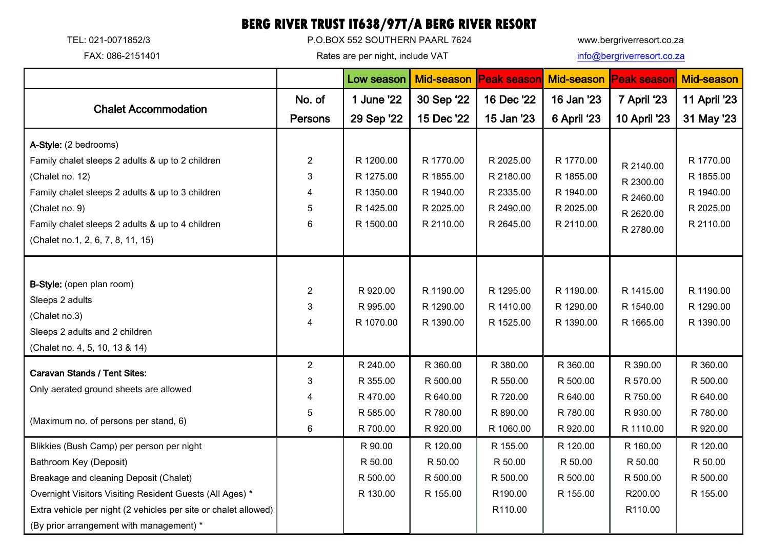# **BERG RIVER TRUST IT638/97T/A BERG RIVER RESORT**

TEL: 021-0071852/3 P.O.BOX 552 SOUTHERN PAARL 7624 www.bergriverresort.co.za

FAX: 086-2151401 **Rates are per night, include VAT** [info@bergriverresort.co.za](mailto:info@bergriverresort.co.za)

|                                                                               |                | Low season | <b>Mid-season</b> | <b>Peak season</b> |             | Mid-season Peak season | <b>Mid-season</b>      |
|-------------------------------------------------------------------------------|----------------|------------|-------------------|--------------------|-------------|------------------------|------------------------|
| <b>Chalet Accommodation</b>                                                   | No. of         | 1 June '22 | 30 Sep '22        | 16 Dec '22         | 16 Jan '23  | 7 April '23            | 11 April '23           |
|                                                                               | <b>Persons</b> | 29 Sep '22 | 15 Dec '22        | 15 Jan '23         | 6 April '23 | 10 April '23           | 31 May '23             |
| A-Style: (2 bedrooms)                                                         |                |            |                   |                    |             |                        |                        |
| Family chalet sleeps 2 adults & up to 2 children                              | $\overline{2}$ | R 1200.00  | R 1770.00         | R 2025.00          | R 1770.00   | R 2140.00<br>R 2300.00 | R 1770.00              |
| (Chalet no. 12)                                                               | 3              | R 1275.00  | R 1855.00         | R 2180.00          | R 1855.00   |                        | R 1855.00              |
| Family chalet sleeps 2 adults & up to 3 children                              | 4              | R 1350.00  | R 1940.00         | R 2335.00          | R 1940.00   | R 2460.00              | R 1940.00<br>R 2025.00 |
| (Chalet no. 9)                                                                | 5              | R 1425.00  | R 2025.00         | R 2490.00          | R 2025.00   | R 2620.00              |                        |
| Family chalet sleeps 2 adults & up to 4 children                              | 6              | R 1500.00  | R 2110.00         | R 2645.00          | R 2110.00   | R 2780.00              | R 2110.00              |
| (Chalet no.1, 2, 6, 7, 8, 11, 15)                                             |                |            |                   |                    |             |                        |                        |
|                                                                               |                |            |                   |                    |             |                        |                        |
| <b>B-Style:</b> (open plan room)                                              | $\overline{2}$ | R 920.00   | R 1190.00         | R 1295.00          | R 1190.00   | R 1415.00              | R 1190.00              |
| Sleeps 2 adults<br>(Chalet no.3)                                              | 3              | R 995.00   | R 1290.00         | R 1410.00          | R 1290.00   | R 1540.00              | R 1290.00              |
|                                                                               | 4              | R 1070.00  | R 1390.00         | R 1525.00          | R 1390.00   | R 1665.00              | R 1390.00              |
| Sleeps 2 adults and 2 children                                                |                |            |                   |                    |             |                        |                        |
| (Chalet no. 4, 5, 10, 13 & 14)                                                |                |            |                   |                    |             |                        |                        |
| <b>Caravan Stands / Tent Sites:</b><br>Only aerated ground sheets are allowed | $\overline{2}$ | R 240.00   | R 360.00          | R 380.00           | R 360.00    | R 390.00               | R 360.00               |
|                                                                               | 3              | R 355.00   | R 500.00          | R 550.00           | R 500.00    | R 570.00               | R 500.00               |
|                                                                               | 4              | R 470.00   | R 640.00          | R 720.00           | R 640.00    | R 750.00               | R 640.00               |
| (Maximum no. of persons per stand, 6)                                         | 5              | R 585.00   | R 780.00          | R 890.00           | R 780.00    | R 930.00               | R 780.00               |
|                                                                               | 6              | R 700.00   | R 920.00          | R 1060.00          | R 920.00    | R 1110.00              | R 920.00               |
| Blikkies (Bush Camp) per person per night                                     |                | R 90.00    | R 120.00          | R 155.00           | R 120.00    | R 160.00               | R 120.00               |
| Bathroom Key (Deposit)                                                        |                | R 50.00    | R 50.00           | R 50.00            | R 50.00     | R 50.00                | R 50.00                |
| Breakage and cleaning Deposit (Chalet)                                        |                | R 500.00   | R 500.00          | R 500.00           | R 500.00    | R 500.00               | R 500.00               |
| Overnight Visitors Visiting Resident Guests (All Ages) *                      |                | R 130.00   | R 155.00          | R190.00            | R 155.00    | R200.00                | R 155.00               |
| Extra vehicle per night (2 vehicles per site or chalet allowed)               |                |            |                   | R110.00            |             | R110.00                |                        |
| (By prior arrangement with management) *                                      |                |            |                   |                    |             |                        |                        |